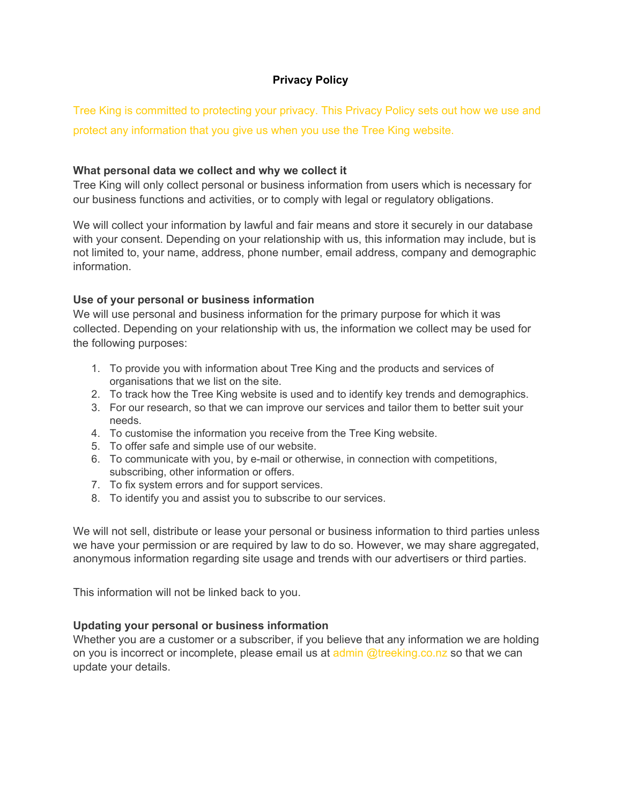# **Privacy Policy**

Tree King is committed to protecting your privacy. This Privacy Policy sets out how we use and protect any information that you give us when you use the Tree King website.

### **What personal data we collect and why we collect it**

Tree King will only collect personal or business information from users which is necessary for our business functions and activities, or to comply with legal or regulatory obligations.

We will collect your information by lawful and fair means and store it securely in our database with your consent. Depending on your relationship with us, this information may include, but is not limited to, your name, address, phone number, email address, company and demographic information.

#### **Use of your personal or business information**

We will use personal and business information for the primary purpose for which it was collected. Depending on your relationship with us, the information we collect may be used for the following purposes:

- 1. To provide you with information about Tree King and the products and services of organisations that we list on the site.
- 2. To track how the Tree King website is used and to identify key trends and demographics.
- 3. For our research, so that we can improve our services and tailor them to better suit your needs.
- 4. To customise the information you receive from the Tree King website.
- 5. To offer safe and simple use of our website.
- 6. To communicate with you, by e-mail or otherwise, in connection with competitions, subscribing, other information or offers.
- 7. To fix system errors and for support services.
- 8. To identify you and assist you to subscribe to our services.

We will not sell, distribute or lease your personal or business information to third parties unless we have your permission or are required by law to do so. However, we may share aggregated, anonymous information regarding site usage and trends with our advertisers or third parties.

This information will not be linked back to you.

### **Updating your personal or business information**

Whether you are a customer or a subscriber, if you believe that any information we are holding on you is incorrect or incomplete, please email us at admin @treeking.co.nz so that we can update your details.